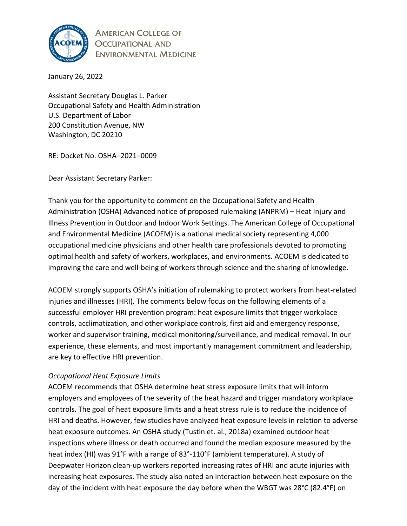

**AMERICAN COLLEGE OF OCCUPATIONAL AND ENVIRONMENTAL MEDICINE** 

January 26, 2022

Assistant Secretary Douglas L. Parker Occupational Safety and Health Administration U.S. Department of Labor 200 Constitution Avenue, NW Washington, DC 20210

RE: Docket No. OSHA–2021–0009

Dear Assistant Secretary Parker:

Thank you for the opportunity to comment on the Occupational Safety and Health Administration (OSHA) Advanced notice of proposed rulemaking (ANPRM) – Heat Injury and Illness Prevention in Outdoor and Indoor Work Settings. The American College of Occupational and Environmental Medicine (ACOEM) is a national medical society representing 4,000 occupational medicine physicians and other health care professionals devoted to promoting optimal health and safety of workers, workplaces, and environments. ACOEM is dedicated to improving the care and well-being of workers through science and the sharing of knowledge.

ACOEM strongly supports OSHA's initiation of rulemaking to protect workers from heat-related injuries and illnesses (HRI). The comments below focus on the following elements of a successful employer HRI prevention program: heat exposure limits that trigger workplace controls, acclimatization, and other workplace controls, first aid and emergency response, worker and supervisor training, medical monitoring/surveillance, and medical removal. In our experience, these elements, and most importantly management commitment and leadership, are key to effective HRI prevention.

# *Occupational Heat Exposure Limits*

ACOEM recommends that OSHA determine heat stress exposure limits that will inform employers and employees of the severity of the heat hazard and trigger mandatory workplace controls. The goal of heat exposure limits and a heat stress rule is to reduce the incidence of HRI and deaths. However, few studies have analyzed heat exposure levels in relation to adverse heat exposure outcomes. An OSHA study (Tustin et. al., 2018a) examined outdoor heat inspections where illness or death occurred and found the median exposure measured by the heat index (HI) was 91°F with a range of 83°-110°F (ambient temperature). A study of Deepwater Horizon clean-up workers reported increasing rates of HRI and acute injuries with increasing heat exposures. The study also noted an interaction between heat exposure on the day of the incident with heat exposure the day before when the WBGT was 28°C (82.4°F) on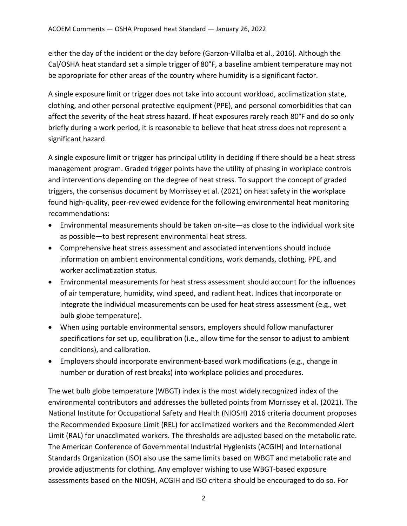either the day of the incident or the day before (Garzon-Villalba et al., 2016). Although the Cal/OSHA heat standard set a simple trigger of 80°F, a baseline ambient temperature may not be appropriate for other areas of the country where humidity is a significant factor.

A single exposure limit or trigger does not take into account workload, acclimatization state, clothing, and other personal protective equipment (PPE), and personal comorbidities that can affect the severity of the heat stress hazard. If heat exposures rarely reach 80°F and do so only briefly during a work period, it is reasonable to believe that heat stress does not represent a significant hazard.

A single exposure limit or trigger has principal utility in deciding if there should be a heat stress management program. Graded trigger points have the utility of phasing in workplace controls and interventions depending on the degree of heat stress. To support the concept of graded triggers, the consensus document by Morrissey et al. (2021) on heat safety in the workplace found high-quality, peer-reviewed evidence for the following environmental heat monitoring recommendations:

- Environmental measurements should be taken on-site—as close to the individual work site as possible—to best represent environmental heat stress.
- Comprehensive heat stress assessment and associated interventions should include information on ambient environmental conditions, work demands, clothing, PPE, and worker acclimatization status.
- Environmental measurements for heat stress assessment should account for the influences of air temperature, humidity, wind speed, and radiant heat. Indices that incorporate or integrate the individual measurements can be used for heat stress assessment (e.g., wet bulb globe temperature).
- When using portable environmental sensors, employers should follow manufacturer specifications for set up, equilibration (i.e., allow time for the sensor to adjust to ambient conditions), and calibration.
- Employers should incorporate environment-based work modifications (e.g., change in number or duration of rest breaks) into workplace policies and procedures.

The wet bulb globe temperature (WBGT) index is the most widely recognized index of the environmental contributors and addresses the bulleted points from Morrissey et al. (2021). The National Institute for Occupational Safety and Health (NIOSH) 2016 criteria document proposes the Recommended Exposure Limit (REL) for acclimatized workers and the Recommended Alert Limit (RAL) for unacclimated workers. The thresholds are adjusted based on the metabolic rate. The American Conference of Governmental Industrial Hygienists (ACGIH) and International Standards Organization (ISO) also use the same limits based on WBGT and metabolic rate and provide adjustments for clothing. Any employer wishing to use WBGT-based exposure assessments based on the NIOSH, ACGIH and ISO criteria should be encouraged to do so. For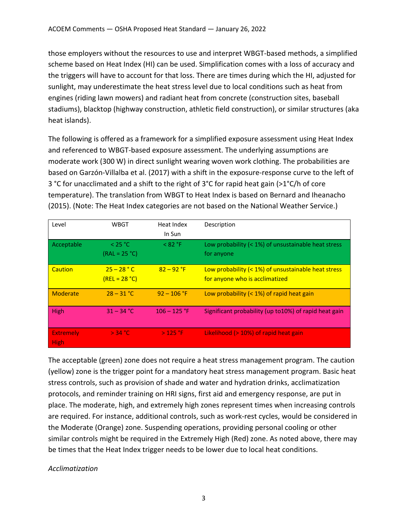those employers without the resources to use and interpret WBGT-based methods, a simplified scheme based on Heat Index (HI) can be used. Simplification comes with a loss of accuracy and the triggers will have to account for that loss. There are times during which the HI, adjusted for sunlight, may underestimate the heat stress level due to local conditions such as heat from engines (riding lawn mowers) and radiant heat from concrete (construction sites, baseball stadiums), blacktop (highway construction, athletic field construction), or similar structures (aka heat islands).

The following is offered as a framework for a simplified exposure assessment using Heat Index and referenced to WBGT-based exposure assessment. The underlying assumptions are moderate work (300 W) in direct sunlight wearing woven work clothing. The probabilities are based on Garzón-Villalba et al. (2017) with a shift in the exposure-response curve to the left of 3 °C for unacclimated and a shift to the right of 3°C for rapid heat gain (>1°C/h of core temperature). The translation from WBGT to Heat Index is based on Bernard and Iheanacho (2015). (Note: The Heat Index categories are not based on the National Weather Service.)

| Level                           | WBGT                             | Heat Index<br>In Sun | Description                                                                           |
|---------------------------------|----------------------------------|----------------------|---------------------------------------------------------------------------------------|
| Acceptable                      | $<$ 25 °C<br>$(RAL = 25 °C)$     | < 82 °F              | Low probability (< 1%) of unsustainable heat stress<br>for anyone                     |
| Caution                         | $25 - 28$ ° C<br>$(REL = 28 °C)$ | $82 - 92$ °F         | Low probability (< 1%) of unsustainable heat stress<br>for anyone who is acclimatized |
| Moderate                        | $28 - 31 °C$                     | $92 - 106$ °F        | Low probability $(< 1\%)$ of rapid heat gain                                          |
| High                            | $31 - 34 °C$                     | $106 - 125$ °F       | Significant probability (up to 10%) of rapid heat gain                                |
| <b>Extremely</b><br><b>High</b> | $>$ 34 °C.                       | $>$ 125 °F.          | Likelihood (> 10%) of rapid heat gain                                                 |

The acceptable (green) zone does not require a heat stress management program. The caution (yellow) zone is the trigger point for a mandatory heat stress management program. Basic heat stress controls, such as provision of shade and water and hydration drinks, acclimatization protocols, and reminder training on HRI signs, first aid and emergency response, are put in place. The moderate, high, and extremely high zones represent times when increasing controls are required. For instance, additional controls, such as work-rest cycles, would be considered in the Moderate (Orange) zone. Suspending operations, providing personal cooling or other similar controls might be required in the Extremely High (Red) zone. As noted above, there may be times that the Heat Index trigger needs to be lower due to local heat conditions.

# *Acclimatization*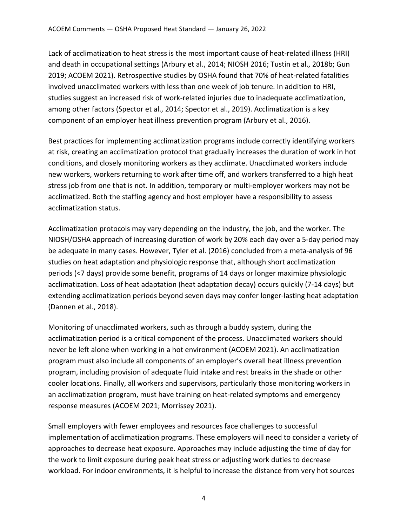Lack of acclimatization to heat stress is the most important cause of heat-related illness (HRI) and death in occupational settings (Arbury et al., 2014; NIOSH 2016; Tustin et al., 2018b; Gun 2019; ACOEM 2021). Retrospective studies by OSHA found that 70% of heat-related fatalities involved unacclimated workers with less than one week of job tenure. In addition to HRI, studies suggest an increased risk of work-related injuries due to inadequate acclimatization, among other factors (Spector et al., 2014; Spector et al., 2019). Acclimatization is a key component of an employer heat illness prevention program (Arbury et al., 2016).

Best practices for implementing acclimatization programs include correctly identifying workers at risk, creating an acclimatization protocol that gradually increases the duration of work in hot conditions, and closely monitoring workers as they acclimate. Unacclimated workers include new workers, workers returning to work after time off, and workers transferred to a high heat stress job from one that is not. In addition, temporary or multi-employer workers may not be acclimatized. Both the staffing agency and host employer have a responsibility to assess acclimatization status.

Acclimatization protocols may vary depending on the industry, the job, and the worker. The NIOSH/OSHA approach of increasing duration of work by 20% each day over a 5-day period may be adequate in many cases. However, Tyler et al. (2016) concluded from a meta-analysis of 96 studies on heat adaptation and physiologic response that, although short acclimatization periods (<7 days) provide some benefit, programs of 14 days or longer maximize physiologic acclimatization. Loss of heat adaptation (heat adaptation decay) occurs quickly (7-14 days) but extending acclimatization periods beyond seven days may confer longer-lasting heat adaptation (Dannen et al., 2018).

Monitoring of unacclimated workers, such as through a buddy system, during the acclimatization period is a critical component of the process. Unacclimated workers should never be left alone when working in a hot environment (ACOEM 2021). An acclimatization program must also include all components of an employer's overall heat illness prevention program, including provision of adequate fluid intake and rest breaks in the shade or other cooler locations. Finally, all workers and supervisors, particularly those monitoring workers in an acclimatization program, must have training on heat-related symptoms and emergency response measures (ACOEM 2021; Morrissey 2021).

Small employers with fewer employees and resources face challenges to successful implementation of acclimatization programs. These employers will need to consider a variety of approaches to decrease heat exposure. Approaches may include adjusting the time of day for the work to limit exposure during peak heat stress or adjusting work duties to decrease workload. For indoor environments, it is helpful to increase the distance from very hot sources

4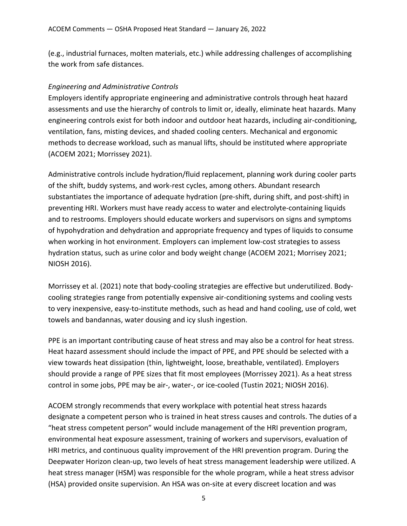(e.g., industrial furnaces, molten materials, etc.) while addressing challenges of accomplishing the work from safe distances.

### *Engineering and Administrative Controls*

Employers identify appropriate engineering and administrative controls through heat hazard assessments and use the hierarchy of controls to limit or, ideally, eliminate heat hazards. Many engineering controls exist for both indoor and outdoor heat hazards, including air-conditioning, ventilation, fans, misting devices, and shaded cooling centers. Mechanical and ergonomic methods to decrease workload, such as manual lifts, should be instituted where appropriate (ACOEM 2021; Morrissey 2021).

Administrative controls include hydration/fluid replacement, planning work during cooler parts of the shift, buddy systems, and work-rest cycles, among others. Abundant research substantiates the importance of adequate hydration (pre-shift, during shift, and post-shift) in preventing HRI. Workers must have ready access to water and electrolyte-containing liquids and to restrooms. Employers should educate workers and supervisors on signs and symptoms of hypohydration and dehydration and appropriate frequency and types of liquids to consume when working in hot environment. Employers can implement low-cost strategies to assess hydration status, such as urine color and body weight change (ACOEM 2021; Morrisey 2021; NIOSH 2016).

Morrissey et al. (2021) note that body-cooling strategies are effective but underutilized. Bodycooling strategies range from potentially expensive air-conditioning systems and cooling vests to very inexpensive, easy-to-institute methods, such as head and hand cooling, use of cold, wet towels and bandannas, water dousing and icy slush ingestion.

PPE is an important contributing cause of heat stress and may also be a control for heat stress. Heat hazard assessment should include the impact of PPE, and PPE should be selected with a view towards heat dissipation (thin, lightweight, loose, breathable, ventilated). Employers should provide a range of PPE sizes that fit most employees (Morrissey 2021). As a heat stress control in some jobs, PPE may be air-, water-, or ice-cooled (Tustin 2021; NIOSH 2016).

ACOEM strongly recommends that every workplace with potential heat stress hazards designate a competent person who is trained in heat stress causes and controls. The duties of a "heat stress competent person" would include management of the HRI prevention program, environmental heat exposure assessment, training of workers and supervisors, evaluation of HRI metrics, and continuous quality improvement of the HRI prevention program. During the Deepwater Horizon clean-up, two levels of heat stress management leadership were utilized. A heat stress manager (HSM) was responsible for the whole program, while a heat stress advisor (HSA) provided onsite supervision. An HSA was on-site at every discreet location and was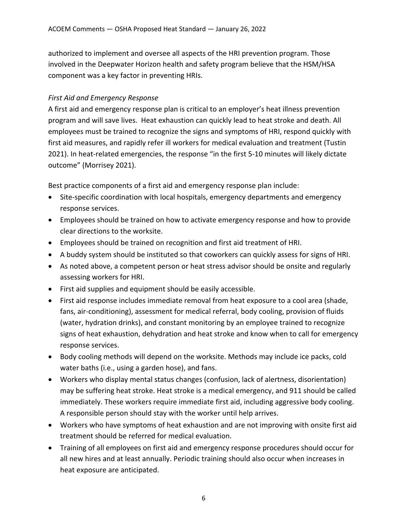authorized to implement and oversee all aspects of the HRI prevention program. Those involved in the Deepwater Horizon health and safety program believe that the HSM/HSA component was a key factor in preventing HRIs.

### *First Aid and Emergency Response*

A first aid and emergency response plan is critical to an employer's heat illness prevention program and will save lives. Heat exhaustion can quickly lead to heat stroke and death. All employees must be trained to recognize the signs and symptoms of HRI, respond quickly with first aid measures, and rapidly refer ill workers for medical evaluation and treatment (Tustin 2021). In heat-related emergencies, the response "in the first 5-10 minutes will likely dictate outcome" (Morrisey 2021).

Best practice components of a first aid and emergency response plan include:

- Site-specific coordination with local hospitals, emergency departments and emergency response services.
- Employees should be trained on how to activate emergency response and how to provide clear directions to the worksite.
- Employees should be trained on recognition and first aid treatment of HRI.
- A buddy system should be instituted so that coworkers can quickly assess for signs of HRI.
- As noted above, a competent person or heat stress advisor should be onsite and regularly assessing workers for HRI.
- First aid supplies and equipment should be easily accessible.
- First aid response includes immediate removal from heat exposure to a cool area (shade, fans, air-conditioning), assessment for medical referral, body cooling, provision of fluids (water, hydration drinks), and constant monitoring by an employee trained to recognize signs of heat exhaustion, dehydration and heat stroke and know when to call for emergency response services.
- Body cooling methods will depend on the worksite. Methods may include ice packs, cold water baths (i.e., using a garden hose), and fans.
- Workers who display mental status changes (confusion, lack of alertness, disorientation) may be suffering heat stroke. Heat stroke is a medical emergency, and 911 should be called immediately. These workers require immediate first aid, including aggressive body cooling. A responsible person should stay with the worker until help arrives.
- Workers who have symptoms of heat exhaustion and are not improving with onsite first aid treatment should be referred for medical evaluation.
- Training of all employees on first aid and emergency response procedures should occur for all new hires and at least annually. Periodic training should also occur when increases in heat exposure are anticipated.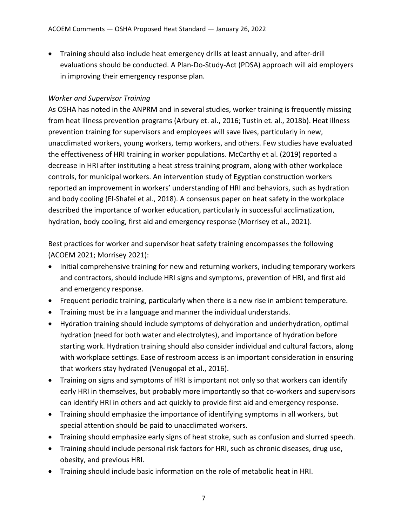• Training should also include heat emergency drills at least annually, and after-drill evaluations should be conducted. A Plan-Do-Study-Act (PDSA) approach will aid employers in improving their emergency response plan.

# *Worker and Supervisor Training*

As OSHA has noted in the ANPRM and in several studies, worker training is frequently missing from heat illness prevention programs (Arbury et. al., 2016; Tustin et. al., 2018b). Heat illness prevention training for supervisors and employees will save lives, particularly in new, unacclimated workers, young workers, temp workers, and others. Few studies have evaluated the effectiveness of HRI training in worker populations. McCarthy et al. (2019) reported a decrease in HRI after instituting a heat stress training program, along with other workplace controls, for municipal workers. An intervention study of Egyptian construction workers reported an improvement in workers' understanding of HRI and behaviors, such as hydration and body cooling (El-Shafei et al., 2018). A consensus paper on heat safety in the workplace described the importance of worker education, particularly in successful acclimatization, hydration, body cooling, first aid and emergency response (Morrisey et al., 2021).

Best practices for worker and supervisor heat safety training encompasses the following (ACOEM 2021; Morrisey 2021):

- Initial comprehensive training for new and returning workers, including temporary workers and contractors, should include HRI signs and symptoms, prevention of HRI, and first aid and emergency response.
- Frequent periodic training, particularly when there is a new rise in ambient temperature.
- Training must be in a language and manner the individual understands.
- Hydration training should include symptoms of dehydration and underhydration, optimal hydration (need for both water and electrolytes), and importance of hydration before starting work. Hydration training should also consider individual and cultural factors, along with workplace settings. Ease of restroom access is an important consideration in ensuring that workers stay hydrated (Venugopal et al., 2016).
- Training on signs and symptoms of HRI is important not only so that workers can identify early HRI in themselves, but probably more importantly so that co-workers and supervisors can identify HRI in others and act quickly to provide first aid and emergency response.
- Training should emphasize the importance of identifying symptoms in all workers, but special attention should be paid to unacclimated workers.
- Training should emphasize early signs of heat stroke, such as confusion and slurred speech.
- Training should include personal risk factors for HRI, such as chronic diseases, drug use, obesity, and previous HRI.
- Training should include basic information on the role of metabolic heat in HRI.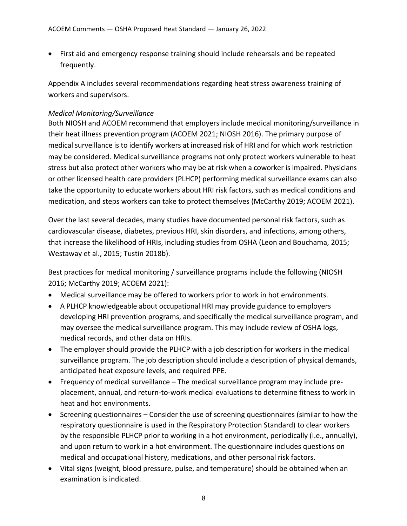• First aid and emergency response training should include rehearsals and be repeated frequently.

Appendix A includes several recommendations regarding heat stress awareness training of workers and supervisors.

### *Medical Monitoring/Surveillance*

Both NIOSH and ACOEM recommend that employers include medical monitoring/surveillance in their heat illness prevention program (ACOEM 2021; NIOSH 2016). The primary purpose of medical surveillance is to identify workers at increased risk of HRI and for which work restriction may be considered. Medical surveillance programs not only protect workers vulnerable to heat stress but also protect other workers who may be at risk when a coworker is impaired. Physicians or other licensed health care providers (PLHCP) performing medical surveillance exams can also take the opportunity to educate workers about HRI risk factors, such as medical conditions and medication, and steps workers can take to protect themselves (McCarthy 2019; ACOEM 2021).

Over the last several decades, many studies have documented personal risk factors, such as cardiovascular disease, diabetes, previous HRI, skin disorders, and infections, among others, that increase the likelihood of HRIs, including studies from OSHA (Leon and Bouchama, 2015; Westaway et al., 2015; Tustin 2018b).

Best practices for medical monitoring / surveillance programs include the following (NIOSH 2016; McCarthy 2019; ACOEM 2021):

- Medical surveillance may be offered to workers prior to work in hot environments.
- A PLHCP knowledgeable about occupational HRI may provide guidance to employers developing HRI prevention programs, and specifically the medical surveillance program, and may oversee the medical surveillance program. This may include review of OSHA logs, medical records, and other data on HRIs.
- The employer should provide the PLHCP with a job description for workers in the medical surveillance program. The job description should include a description of physical demands, anticipated heat exposure levels, and required PPE.
- Frequency of medical surveillance The medical surveillance program may include preplacement, annual, and return-to-work medical evaluations to determine fitness to work in heat and hot environments.
- Screening questionnaires Consider the use of screening questionnaires (similar to how the respiratory questionnaire is used in the Respiratory Protection Standard) to clear workers by the responsible PLHCP prior to working in a hot environment, periodically (i.e., annually), and upon return to work in a hot environment. The questionnaire includes questions on medical and occupational history, medications, and other personal risk factors.
- Vital signs (weight, blood pressure, pulse, and temperature) should be obtained when an examination is indicated.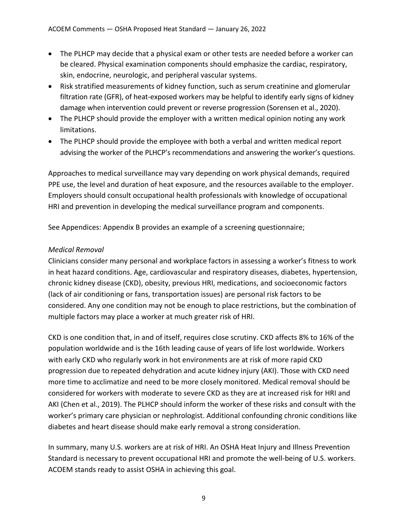- The PLHCP may decide that a physical exam or other tests are needed before a worker can be cleared. Physical examination components should emphasize the cardiac, respiratory, skin, endocrine, neurologic, and peripheral vascular systems.
- Risk stratified measurements of kidney function, such as serum creatinine and glomerular filtration rate (GFR), of heat-exposed workers may be helpful to identify early signs of kidney damage when intervention could prevent or reverse progression (Sorensen et al., 2020).
- The PLHCP should provide the employer with a written medical opinion noting any work limitations.
- The PLHCP should provide the employee with both a verbal and written medical report advising the worker of the PLHCP's recommendations and answering the worker's questions.

Approaches to medical surveillance may vary depending on work physical demands, required PPE use, the level and duration of heat exposure, and the resources available to the employer. Employers should consult occupational health professionals with knowledge of occupational HRI and prevention in developing the medical surveillance program and components.

See Appendices: Appendix B provides an example of a screening questionnaire;

# *Medical Removal*

Clinicians consider many personal and workplace factors in assessing a worker's fitness to work in heat hazard conditions. Age, cardiovascular and respiratory diseases, diabetes, hypertension, chronic kidney disease (CKD), obesity, previous HRI, medications, and socioeconomic factors (lack of air conditioning or fans, transportation issues) are personal risk factors to be considered. Any one condition may not be enough to place restrictions, but the combination of multiple factors may place a worker at much greater risk of HRI.

CKD is one condition that, in and of itself, requires close scrutiny. CKD affects 8% to 16% of the population worldwide and is the 16th leading cause of years of life lost worldwide. Workers with early CKD who regularly work in hot environments are at risk of more rapid CKD progression due to repeated dehydration and acute kidney injury (AKI). Those with CKD need more time to acclimatize and need to be more closely monitored. Medical removal should be considered for workers with moderate to severe CKD as they are at increased risk for HRI and AKI (Chen et al., 2019). The PLHCP should inform the worker of these risks and consult with the worker's primary care physician or nephrologist. Additional confounding chronic conditions like diabetes and heart disease should make early removal a strong consideration.

In summary, many U.S. workers are at risk of HRI. An OSHA Heat Injury and Illness Prevention Standard is necessary to prevent occupational HRI and promote the well-being of U.S. workers. ACOEM stands ready to assist OSHA in achieving this goal.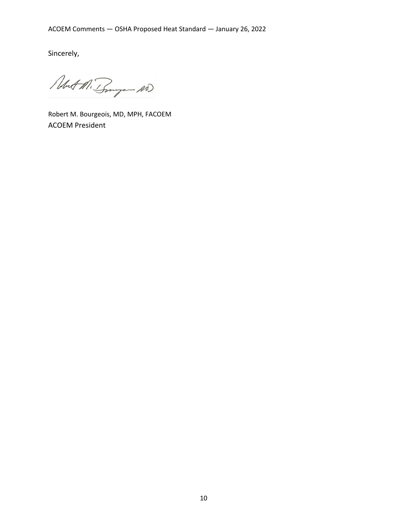Sincerely,

About Mi Bonger 10

Robert M. Bourgeois, MD, MPH, FACOEM ACOEM President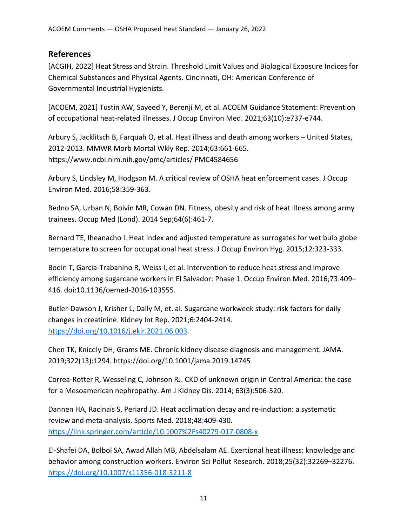# **References**

[ACGIH, 2022] Heat Stress and Strain. Threshold Limit Values and Biological Exposure Indices for Chemical Substances and Physical Agents. Cincinnati, OH: American Conference of Governmental Industrial Hygienists.

[ACOEM, 2021] Tustin AW, Sayeed Y, Berenji M, et al. ACOEM Guidance Statement: Prevention of occupational heat-related illnesses. J Occup Environ Med. 2021;63(10):e737-e744.

Arbury S, Jacklitsch B, Farquah O, et al. Heat illness and death among workers – United States, 2012-2013. MMWR Morb Mortal Wkly Rep. 2014;63:661-665. https://www.ncbi.nlm.nih.gov/pmc/articles/ PMC4584656

Arbury S, Lindsley M, Hodgson M. A critical review of OSHA heat enforcement cases. J Occup Environ Med. 2016;58:359-363.

Bedno SA, Urban N, Boivin MR, Cowan DN. Fitness, obesity and risk of heat illness among army trainees. Occup Med (Lond). 2014 Sep;64(6):461-7.

Bernard TE, Iheanacho I. Heat index and adjusted temperature as surrogates for wet bulb globe temperature to screen for occupational heat stress. J Occup Environ Hyg. 2015;12:323-333.

Bodin T, Garcia-Trabanino R, Weiss I, et al. Intervention to reduce heat stress and improve efficiency among sugarcane workers in El Salvador: Phase 1. Occup Environ Med. 2016;73:409– 416. doi:10.1136/oemed-2016-103555.

Butler-Dawson J, Krisher L, Dally M, et. al. Sugarcane workweek study: risk factors for daily changes in creatinine. Kidney Int Rep. 2021;6:2404-2414. https://doi.org/10.1016/j.ekir.2021.06.003.

Chen TK, Knicely DH, Grams ME. Chronic kidney disease diagnosis and management. JAMA. 2019;322(13):1294. https://doi.org/10.1001/jama.2019.14745

Correa-Rotter R, Wesseling C, Johnson RJ. CKD of unknown origin in Central America: the case for a Mesoamerican nephropathy. Am J Kidney Dis. 2014; 63(3):506-520.

Dannen HA, Racinais S, Periard JD. Heat acclimation decay and re-induction: a systematic review and meta-analysis. Sports Med. 2018;48:409-430. https://link.springer.com/article/10.1007%2Fs40279-017-0808-x

El-Shafei DA, Bolbol SA, Awad Allah MB, Abdelsalam AE. Exertional heat illness: knowledge and behavior among construction workers. Environ Sci Pollut Research. 2018;25(32):32269–32276. https://doi.org/10.1007/s11356-018-3211-8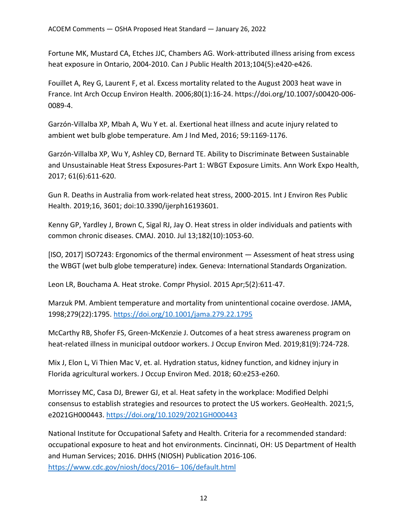Fortune MK, Mustard CA, Etches JJC, Chambers AG. Work-attributed illness arising from excess heat exposure in Ontario, 2004-2010. Can J Public Health 2013;104(5):e420-e426.

Fouillet A, Rey G, Laurent F, et al. Excess mortality related to the August 2003 heat wave in France. Int Arch Occup Environ Health. 2006;80(1):16-24. https://doi.org/10.1007/s00420-006- 0089-4.

Garzón-Villalba XP, Mbah A, Wu Y et. al. Exertional heat illness and acute injury related to ambient wet bulb globe temperature. Am J Ind Med, 2016; 59:1169-1176.

Garzón-Villalba XP, Wu Y, Ashley CD, Bernard TE. Ability to Discriminate Between Sustainable and Unsustainable Heat Stress Exposures-Part 1: WBGT Exposure Limits. Ann Work Expo Health, 2017; 61(6):611-620.

Gun R. Deaths in Australia from work-related heat stress, 2000-2015. Int J Environ Res Public Health. 2019;16, 3601; doi:10.3390/ijerph16193601.

Kenny GP, Yardley J, Brown C, Sigal RJ, Jay O. Heat stress in older individuals and patients with common chronic diseases. CMAJ. 2010. Jul 13;182(10):1053-60.

[ISO, 2017] ISO7243: Ergonomics of the thermal environment — Assessment of heat stress using the WBGT (wet bulb globe temperature) index. Geneva: International Standards Organization.

Leon LR, Bouchama A. Heat stroke. Compr Physiol. 2015 Apr;5(2):611-47.

Marzuk PM. Ambient temperature and mortality from unintentional cocaine overdose. JAMA, 1998;279(22):1795. https://doi.org/10.1001/jama.279.22.1795

McCarthy RB, Shofer FS, Green-McKenzie J. Outcomes of a heat stress awareness program on heat-related illness in municipal outdoor workers. J Occup Environ Med. 2019;81(9):724-728.

Mix J, Elon L, Vi Thien Mac V, et. al. Hydration status, kidney function, and kidney injury in Florida agricultural workers. J Occup Environ Med. 2018; 60:e253-e260.

Morrissey MC, Casa DJ, Brewer GJ, et al. Heat safety in the workplace: Modified Delphi consensus to establish strategies and resources to protect the US workers. GeoHealth. 2021;5, e2021GH000443. https://doi.org/10.1029/2021GH000443

National Institute for Occupational Safety and Health. Criteria for a recommended standard: occupational exposure to heat and hot environments. Cincinnati, OH: US Department of Health and Human Services; 2016. DHHS (NIOSH) Publication 2016-106. https://www.cdc.gov/niosh/docs/2016– 106/default.html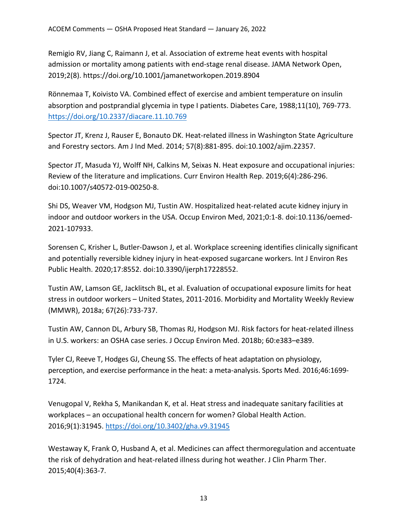Remigio RV, Jiang C, Raimann J, et al. Association of extreme heat events with hospital admission or mortality among patients with end-stage renal disease. JAMA Network Open, 2019;2(8). https://doi.org/10.1001/jamanetworkopen.2019.8904

Rönnemaa T, Koivisto VA. Combined effect of exercise and ambient temperature on insulin absorption and postprandial glycemia in type I patients. Diabetes Care, 1988;11(10), 769-773. https://doi.org/10.2337/diacare.11.10.769

Spector JT, Krenz J, Rauser E, Bonauto DK. Heat-related illness in Washington State Agriculture and Forestry sectors. Am J Ind Med. 2014; 57(8):881-895. doi:10.1002/ajim.22357.

Spector JT, Masuda YJ, Wolff NH, Calkins M, Seixas N. Heat exposure and occupational injuries: Review of the literature and implications. Curr Environ Health Rep. 2019;6(4):286-296. doi:10.1007/s40572-019-00250-8.

Shi DS, Weaver VM, Hodgson MJ, Tustin AW. Hospitalized heat-related acute kidney injury in indoor and outdoor workers in the USA. Occup Environ Med, 2021;0:1-8. doi:10.1136/oemed-2021-107933.

Sorensen C, Krisher L, Butler-Dawson J, et al. Workplace screening identifies clinically significant and potentially reversible kidney injury in heat-exposed sugarcane workers. Int J Environ Res Public Health. 2020;17:8552. doi:10.3390/ijerph17228552.

Tustin AW, Lamson GE, Jacklitsch BL, et al. Evaluation of occupational exposure limits for heat stress in outdoor workers – United States, 2011-2016. Morbidity and Mortality Weekly Review (MMWR), 2018a; 67(26):733-737.

Tustin AW, Cannon DL, Arbury SB, Thomas RJ, Hodgson MJ. Risk factors for heat-related illness in U.S. workers: an OSHA case series. J Occup Environ Med. 2018b; 60:e383–e389.

Tyler CJ, Reeve T, Hodges GJ, Cheung SS. The effects of heat adaptation on physiology, perception, and exercise performance in the heat: a meta-analysis. Sports Med. 2016;46:1699- 1724.

Venugopal V, Rekha S, Manikandan K, et al. Heat stress and inadequate sanitary facilities at workplaces – an occupational health concern for women? Global Health Action. 2016;9(1):31945. https://doi.org/10.3402/gha.v9.31945

Westaway K, Frank O, Husband A, et al. Medicines can affect thermoregulation and accentuate the risk of dehydration and heat-related illness during hot weather. J Clin Pharm Ther. 2015;40(4):363-7.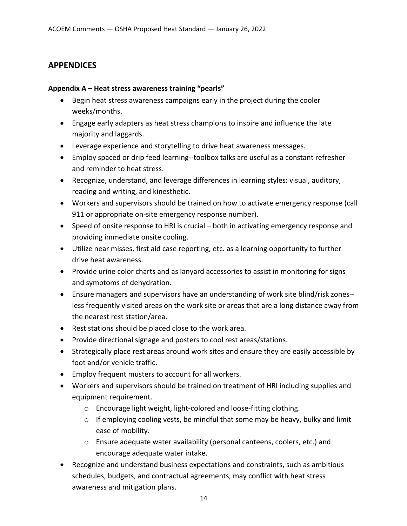# **APPENDICES**

### **Appendix A – Heat stress awareness training "pearls"**

- Begin heat stress awareness campaigns early in the project during the cooler weeks/months.
- Engage early adapters as heat stress champions to inspire and influence the late majority and laggards.
- Leverage experience and storytelling to drive heat awareness messages.
- Employ spaced or drip feed learning--toolbox talks are useful as a constant refresher and reminder to heat stress.
- Recognize, understand, and leverage differences in learning styles: visual, auditory, reading and writing, and kinesthetic.
- Workers and supervisors should be trained on how to activate emergency response (call 911 or appropriate on-site emergency response number).
- Speed of onsite response to HRI is crucial both in activating emergency response and providing immediate onsite cooling.
- Utilize near misses, first aid case reporting, etc. as a learning opportunity to further drive heat awareness.
- Provide urine color charts and as lanyard accessories to assist in monitoring for signs and symptoms of dehydration.
- Ensure managers and supervisors have an understanding of work site blind/risk zones- less frequently visited areas on the work site or areas that are a long distance away from the nearest rest station/area.
- Rest stations should be placed close to the work area.
- Provide directional signage and posters to cool rest areas/stations.
- Strategically place rest areas around work sites and ensure they are easily accessible by foot and/or vehicle traffic.
- Employ frequent musters to account for all workers.
- Workers and supervisors should be trained on treatment of HRI including supplies and equipment requirement.
	- o Encourage light weight, light-colored and loose-fitting clothing.
	- $\circ$  If employing cooling vests, be mindful that some may be heavy, bulky and limit ease of mobility.
	- o Ensure adequate water availability (personal canteens, coolers, etc.) and encourage adequate water intake.
- Recognize and understand business expectations and constraints, such as ambitious schedules, budgets, and contractual agreements, may conflict with heat stress awareness and mitigation plans.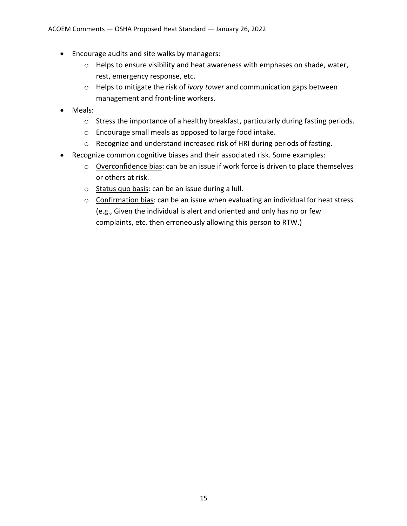- Encourage audits and site walks by managers:
	- o Helps to ensure visibility and heat awareness with emphases on shade, water, rest, emergency response, etc.
	- o Helps to mitigate the risk of *ivory tower* and communication gaps between management and front-line workers.
- Meals:
	- $\circ$  Stress the importance of a healthy breakfast, particularly during fasting periods.
	- o Encourage small meals as opposed to large food intake.
	- o Recognize and understand increased risk of HRI during periods of fasting.
- Recognize common cognitive biases and their associated risk. Some examples:
	- o Overconfidence bias: can be an issue if work force is driven to place themselves or others at risk.
	- o Status quo basis: can be an issue during a lull.
	- o Confirmation bias: can be an issue when evaluating an individual for heat stress (e.g., Given the individual is alert and oriented and only has no or few complaints, etc. then erroneously allowing this person to RTW.)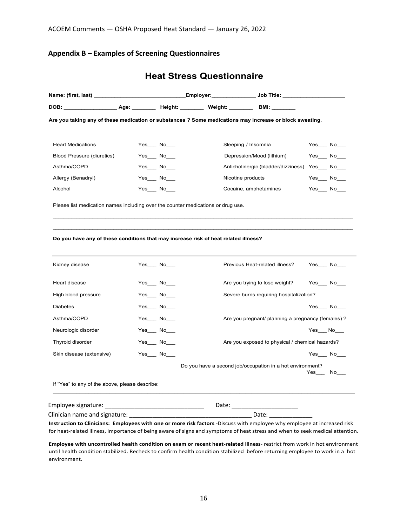### **Appendix B – Examples of Screening Questionnaires**

# **Heat Stress Questionnaire**

| Name: (first, last) j                          |                                                                                               | _Employer:_ |                                                                                                         |                 |
|------------------------------------------------|-----------------------------------------------------------------------------------------------|-------------|---------------------------------------------------------------------------------------------------------|-----------------|
|                                                |                                                                                               |             | DOB: __________________Age: _________ Height: ________ Weight: ________ BMI: ________                   |                 |
|                                                |                                                                                               |             | Are you taking any of these medication or substances ? Some medications may increase or block sweating. |                 |
| <b>Heart Medications</b>                       | Yes No                                                                                        |             | Sleeping / Insomnia                                                                                     | $Yes$ No $\_\_$ |
| <b>Blood Pressure (diuretics)</b>              | $Yes$ No_____                                                                                 |             | Depression/Mood (lithium)                                                                               | $Yes$ No____    |
| Asthma/COPD                                    | Yes No                                                                                        |             | Anticholinergic (bladder/dizziness) Yes No                                                              |                 |
| Allergy (Benadryl)                             | $Yes$ No____                                                                                  |             | Nicotine products                                                                                       | $Yes$ No____    |
| Alcohol                                        | Yes No                                                                                        |             | Cocaine, amphetamines                                                                                   | $Yes$ No____    |
|                                                | Please list medication names including over the counter medications or drug use.              |             |                                                                                                         |                 |
| Kidney disease                                 | Do you have any of these conditions that may increase risk of heat related illness?<br>Yes No |             | Previous Heat-related illness?                                                                          | Yes No          |
|                                                |                                                                                               |             |                                                                                                         |                 |
| Heart disease                                  | $Yes$ No $\_\_$                                                                               |             | Are you trying to lose weight?                                                                          | Yes No          |
| High blood pressure                            | Yes No                                                                                        |             | Severe burns requiring hospitalization?                                                                 |                 |
| <b>Diabetes</b>                                | $Yes$ No $\_\_$                                                                               |             |                                                                                                         | $Yes$ No $\_\_$ |
| Asthma/COPD                                    | $Yes$ No____                                                                                  |             | Are you pregnant/ planning a pregnancy (females)?                                                       |                 |
| Neurologic disorder                            | Yes_ No__                                                                                     |             |                                                                                                         | $Yes$ No____    |
| Thyroid disorder                               | Yes_ No__                                                                                     |             | Are you exposed to physical / chemical hazards?                                                         |                 |
| Skin disease (extensive)                       | $Yes$ No_____                                                                                 |             |                                                                                                         | Yes No          |
|                                                |                                                                                               |             | Do you have a second job/occupation in a hot environment?                                               | Yes<br>No       |
| If "Yes" to any of the above, please describe: |                                                                                               |             |                                                                                                         |                 |
| Employee signature: _                          |                                                                                               | Date:       |                                                                                                         |                 |

Clinician name and signature: \_\_\_\_\_\_\_\_\_\_\_\_\_\_\_\_\_\_\_\_\_\_\_\_\_\_\_\_\_\_\_\_\_\_\_\_\_ Date: \_\_\_\_\_\_\_\_\_\_\_\_\_

**Instruction to Clinicians: Employees with one or more risk factors** -Discuss with employee why employee at increased risk for heat-related illness, importance of being aware of signs and symptoms of heat stress and when to seek medical attention.

**Employee with uncontrolled health condition on exam or recent heat-related illness**- restrict from work in hot environment until health condition stabilized. Recheck to confirm health condition stabilized before returning employee to work in a hot environment.